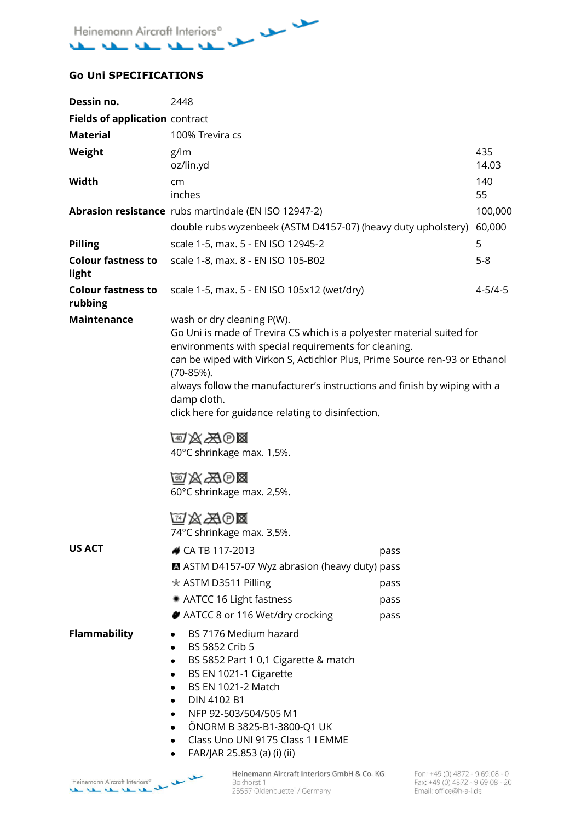$-$ Heinemann Aircraft Interiors<sup>®</sup> منتقب منتقب منفت منفذامه

## **Go Uni SPECIFICATIONS**

| Dessin no.                           | 2448                                                                                                                                                                                                                                                                                                                                                                                                                                                                                                                        |                              |               |
|--------------------------------------|-----------------------------------------------------------------------------------------------------------------------------------------------------------------------------------------------------------------------------------------------------------------------------------------------------------------------------------------------------------------------------------------------------------------------------------------------------------------------------------------------------------------------------|------------------------------|---------------|
| Fields of application contract       |                                                                                                                                                                                                                                                                                                                                                                                                                                                                                                                             |                              |               |
| <b>Material</b>                      | 100% Trevira cs                                                                                                                                                                                                                                                                                                                                                                                                                                                                                                             |                              |               |
| Weight                               | g/lm<br>oz/lin.yd                                                                                                                                                                                                                                                                                                                                                                                                                                                                                                           |                              | 435<br>14.03  |
| Width                                | cm<br>inches                                                                                                                                                                                                                                                                                                                                                                                                                                                                                                                |                              | 140<br>55     |
|                                      | Abrasion resistance rubs martindale (EN ISO 12947-2)                                                                                                                                                                                                                                                                                                                                                                                                                                                                        |                              | 100,000       |
|                                      | double rubs wyzenbeek (ASTM D4157-07) (heavy duty upholstery)                                                                                                                                                                                                                                                                                                                                                                                                                                                               |                              | 60,000        |
| <b>Pilling</b>                       | 5<br>scale 1-5, max. 5 - EN ISO 12945-2                                                                                                                                                                                                                                                                                                                                                                                                                                                                                     |                              |               |
| <b>Colour fastness to</b><br>light   | scale 1-8, max. 8 - EN ISO 105-B02                                                                                                                                                                                                                                                                                                                                                                                                                                                                                          |                              | $5 - 8$       |
| <b>Colour fastness to</b><br>rubbing | scale 1-5, max. 5 - EN ISO 105x12 (wet/dry)                                                                                                                                                                                                                                                                                                                                                                                                                                                                                 |                              | $4 - 5/4 - 5$ |
| <b>Maintenance</b><br><b>US ACT</b>  | wash or dry cleaning P(W).<br>Go Uni is made of Trevira CS which is a polyester material suited for<br>environments with special requirements for cleaning.<br>can be wiped with Virkon S, Actichlor Plus, Prime Source ren-93 or Ethanol<br>$(70-85%)$ .<br>always follow the manufacturer's instructions and finish by wiping with a<br>damp cloth.<br>click here for guidance relating to disinfection.<br>四公为回<br>40°C shrinkage max. 1,5%.<br>@XA00<br>60°C shrinkage max. 2,5%.<br>MAAO⊠<br>74°C shrinkage max. 3,5%. |                              |               |
|                                      | CA TB 117-2013<br>ASTM D4157-07 Wyz abrasion (heavy duty) pass<br>★ ASTM D3511 Pilling<br>AATCC 16 Light fastness<br>AATCC 8 or 116 Wet/dry crocking                                                                                                                                                                                                                                                                                                                                                                        | pass<br>pass<br>pass<br>pass |               |
| <b>Flammability</b>                  | BS 7176 Medium hazard<br>BS 5852 Crib 5<br>BS 5852 Part 1 0,1 Cigarette & match<br>٠<br>BS EN 1021-1 Cigarette<br><b>BS EN 1021-2 Match</b><br>DIN 4102 B1<br>NFP 92-503/504/505 M1<br>ÖNORM B 3825-B1-3800-Q1 UK<br>Class Uno UNI 9175 Class 1 I EMME<br>FAR/JAR 25.853 (a) (i) (ii)                                                                                                                                                                                                                                       |                              |               |